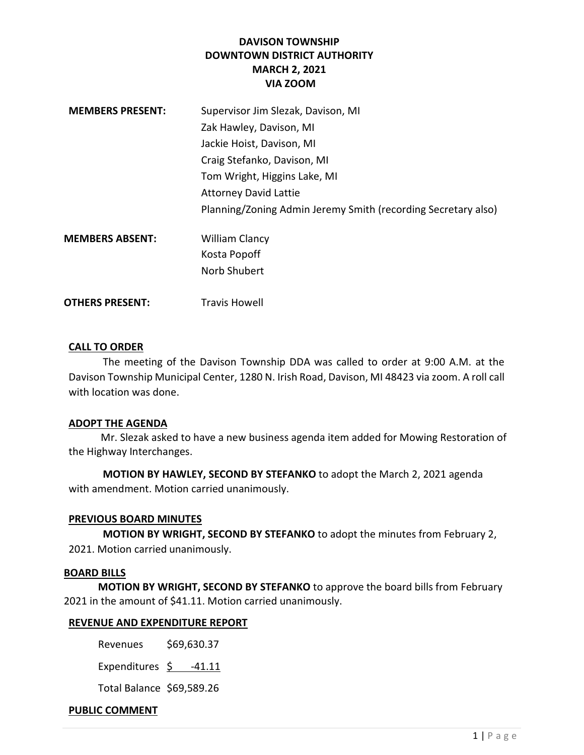# DAVISON TOWNSHIP DOWNTOWN DISTRICT AUTHORITY MARCH 2, 2021 VIA ZOOM

| <b>MEMBERS PRESENT:</b> | Supervisor Jim Slezak, Davison, MI                            |
|-------------------------|---------------------------------------------------------------|
|                         | Zak Hawley, Davison, MI                                       |
|                         | Jackie Hoist, Davison, MI                                     |
|                         | Craig Stefanko, Davison, MI                                   |
|                         | Tom Wright, Higgins Lake, MI                                  |
|                         | <b>Attorney David Lattie</b>                                  |
|                         | Planning/Zoning Admin Jeremy Smith (recording Secretary also) |
| <b>MEMBERS ABSENT:</b>  | <b>William Clancy</b>                                         |
|                         | Kosta Popoff                                                  |
|                         | Norb Shubert                                                  |
|                         |                                                               |

**OTHERS PRESENT:** Travis Howell

### CALL TO ORDER

The meeting of the Davison Township DDA was called to order at 9:00 A.M. at the Davison Township Municipal Center, 1280 N. Irish Road, Davison, MI 48423 via zoom. A roll call with location was done.

### ADOPT THE AGENDA

 Mr. Slezak asked to have a new business agenda item added for Mowing Restoration of the Highway Interchanges.

MOTION BY HAWLEY, SECOND BY STEFANKO to adopt the March 2, 2021 agenda with amendment. Motion carried unanimously.

## PREVIOUS BOARD MINUTES

MOTION BY WRIGHT, SECOND BY STEFANKO to adopt the minutes from February 2, 2021. Motion carried unanimously.

### BOARD BILLS

MOTION BY WRIGHT, SECOND BY STEFANKO to approve the board bills from February 2021 in the amount of \$41.11. Motion carried unanimously.

### REVENUE AND EXPENDITURE REPORT

Revenues \$69,630.37

Expenditures  $\frac{5}{2}$  -41.11

Total Balance \$69,589.26

## PUBLIC COMMENT